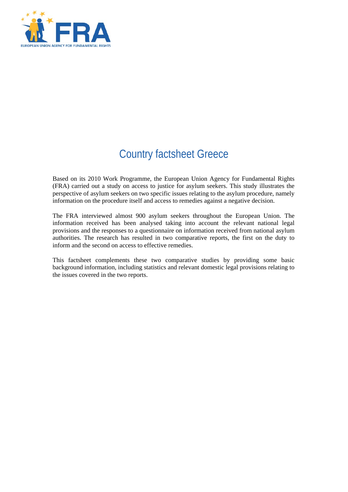

# Country factsheet Greece

Based on its 2010 Work Programme, the European Union Agency for Fundamental Rights (FRA) carried out a study on access to justice for asylum seekers. This study illustrates the perspective of asylum seekers on two specific issues relating to the asylum procedure, namely information on the procedure itself and access to remedies against a negative decision.

The FRA interviewed almost 900 asylum seekers throughout the European Union. The information received has been analysed taking into account the relevant national legal provisions and the responses to a questionnaire on information received from national asylum authorities. The research has resulted in two comparative reports, the first on the duty to inform and the second on access to effective remedies.

This factsheet complements these two comparative studies by providing some basic background information, including statistics and relevant domestic legal provisions relating to the issues covered in the two reports.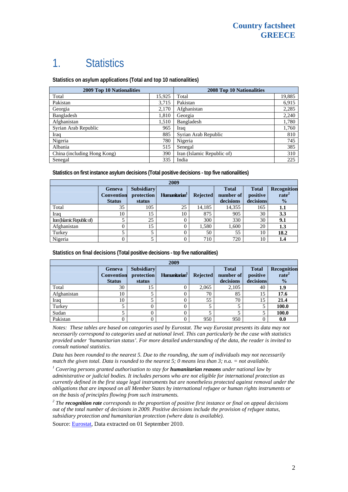## 1. Statistics

**Statistics on asylum applications (Total and top 10 nationalities)**

| 2009 Top 10 Nationalities   |        | 2008 Top 10 Nationalities  |        |  |
|-----------------------------|--------|----------------------------|--------|--|
| Total                       | 15,925 | Total                      | 19,885 |  |
| Pakistan                    | 3,715  | Pakistan                   | 6,915  |  |
| Georgia                     | 2,170  | Afghanistan                | 2,285  |  |
| Bangladesh                  | 1,810  | Georgia                    | 2,240  |  |
| Afghanistan                 | 1,510  | Bangladesh                 | 1,780  |  |
| Syrian Arab Republic        | 965    | Iraq                       | 1,760  |  |
| Iraq                        | 885    | Syrian Arab Republic       | 810    |  |
| Nigeria                     | 780    | Nigeria                    | 745    |  |
| Albania                     | 515    | Senegal                    | 385    |  |
| China (including Hong Kong) | 390    | Iran (Islamic Republic of) | 310    |  |
| Senegal                     | 335    | India                      | 225    |  |

**Statistics on first instance asylum decisions (Total positive decisions - top five nationalities)**

| 2009                       |                                              |                                           |                           |                 |                                        |                                       |                                                   |
|----------------------------|----------------------------------------------|-------------------------------------------|---------------------------|-----------------|----------------------------------------|---------------------------------------|---------------------------------------------------|
|                            | Geneva<br><b>Convention</b><br><b>Status</b> | <b>Subsidiary</b><br>protection<br>status | Humanitarian <sup>1</sup> | <b>Rejected</b> | <b>Total</b><br>number of<br>decisions | <b>Total</b><br>positive<br>decisions | Recognition<br>rate <sup>2</sup><br>$\frac{1}{2}$ |
| Total                      | 35                                           | 105                                       | 25                        | 14,185          | 14.355                                 | 165                                   | 1.1                                               |
| Iraq                       | 10                                           | 15                                        | 10                        | 875             | 905                                    | 30                                    | 3.3                                               |
| Iran (Islamic Republic of) |                                              | 25                                        |                           | 300             | 330                                    | 30                                    | 9.1                                               |
| Afghanistan                | 0                                            | 15                                        |                           | 1,580           | 1,600                                  | 20                                    | 1.3                                               |
| Turkey                     |                                              |                                           |                           | 50              | 55                                     | 10                                    | 18.2                                              |
| Nigeria                    |                                              |                                           |                           | 710             | 720                                    | 10                                    | 1.4                                               |

**Statistics on final decisions (Total positive decisions - top five nationalities)** 

| 2009        |                                              |                                           |                           |                 |                                        |                                       |                                                   |
|-------------|----------------------------------------------|-------------------------------------------|---------------------------|-----------------|----------------------------------------|---------------------------------------|---------------------------------------------------|
|             | Geneva<br><b>Convention</b><br><b>Status</b> | <b>Subsidiary</b><br>protection<br>status | Humanitarian <sup>1</sup> | <b>Rejected</b> | <b>Total</b><br>number of<br>decisions | <b>Total</b><br>positive<br>decisions | Recognition<br>rate <sup>2</sup><br>$\frac{0}{0}$ |
| Total       | 30                                           | 15                                        |                           | 2,065           | 2.105                                  | 40                                    | 1.9                                               |
| Afghanistan | 10                                           |                                           |                           | 70              | 85                                     | 15                                    | 17.6                                              |
| Iraq        | 10                                           |                                           |                           | 55              | 70                                     | 15                                    | 21.4                                              |
| Turkey      |                                              |                                           |                           |                 |                                        |                                       | 100.0                                             |
| Sudan       |                                              |                                           |                           |                 |                                        |                                       | 100.0                                             |
| Pakistan    |                                              |                                           |                           | 950             | 950                                    |                                       | 0.0                                               |

*Notes: These tables are based on categories used by Eurostat. The way Eurostat presents its data may not necessarily correspond to categories used at national level. This can particularly be the case with statistics provided under 'humanitarian status'. For more detailed understanding of the data, the reader is invited to consult national statistics.* 

*Data has been rounded to the nearest 5. Due to the rounding, the sum of individuals may not necessarily match the given total. Data is rounded to the nearest 5; 0 means less than 3; n.a.* = *not available.* 

 *Covering persons granted authorisation to stay for humanitarian reasons under national law by administrative or judicial bodies. It includes persons who are not eligible for international protection as currently defined in the first stage legal instruments but are nonetheless protected against removal under the obligations that are imposed on all Member States by international refugee or human rights instruments or on the basis of principles flowing from such instruments.* 

*2 The recognition rate corresponds to the proportion of positive first instance or final on appeal decisions out of the total number of decisions in 2009. Positive decisions include the provision of refugee status, subsidiary protection and humanitarian protection (where data is available).* 

Source: [Eurostat](http://epp.eurostat.ec.europa.eu/), Data extracted on 01 September 2010.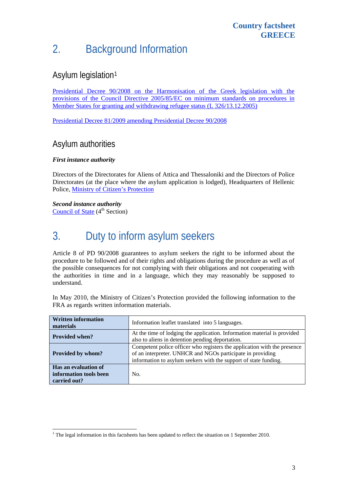# 2. Background Information

### Asylum legislation[1](#page-2-0)

[Presidential Decree 90/2008 on the Harmonisation of the Greek legislation with the](http://emn.ypes.gr/media/17801/p.d.%2090-2008_en.pdf)  [provisions of the Council Directive 2005/85/EC on minimum standards on procedures in](http://emn.ypes.gr/media/17801/p.d.%2090-2008_en.pdf)  [Member States for granting and withdrawing refugee status \(L 326/13.12.2005\)](http://emn.ypes.gr/media/17801/p.d.%2090-2008_en.pdf)

[Presidential Decree 81/2009 amending Presidential Decree 90/2008](http://www.chania.eu/docs/attachments/1213_%CE%A6%CE%95%CE%9A%2023%202009.pdf)

#### Asylum authorities

#### *First instance authority*

Directors of the Directorates for Aliens of Attica and Thessaloniki and the Directors of Police Directorates (at the place where the asylum application is lodged), Headquarters of Hellenic Police, [Ministry of Citizen's Protection](http://www.yptp.gr/main.php)

*Second instance authority*  [Council of State](http://www.ste.gr/FL/main_en.htm)  $(4<sup>th</sup> Section)$ 

1

## 3. Duty to inform asylum seekers

Article 8 of PD 90/2008 guarantees to asylum seekers the right to be informed about the procedure to be followed and of their rights and obligations during the procedure as well as of the possible consequences for not complying with their obligations and not cooperating with the authorities in time and in a language, which they may reasonably be supposed to understand.

In May 2010, the Ministry of Citizen's Protection provided the following information to the FRA as regards written information materials.

| <b>Written information</b><br>materials                        | Information leaflet translated into 5 languages.                                                                                                                                                           |
|----------------------------------------------------------------|------------------------------------------------------------------------------------------------------------------------------------------------------------------------------------------------------------|
| <b>Provided when?</b>                                          | At the time of lodging the application. Information material is provided<br>also to aliens in detention pending deportation.                                                                               |
| Provided by whom?                                              | Competent police officer who registers the application with the presence<br>of an interpreter. UNHCR and NGOs participate in providing<br>information to asylum seekers with the support of state funding. |
| Has an evaluation of<br>information tools been<br>carried out? | No.                                                                                                                                                                                                        |

<span id="page-2-0"></span> $1$ <sup>1</sup> The legal information in this factsheets has been updated to reflect the situation on 1 September 2010.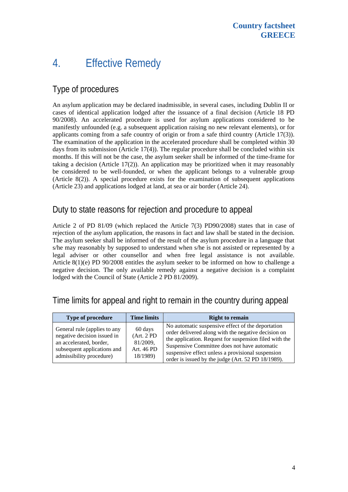### 4. Effective Remedy

### Type of procedures

An asylum application may be declared inadmissible, in several cases, including Dublin II or cases of identical application lodged after the issuance of a final decision (Article 18 PD 90/2008). An accelerated procedure is used for asylum applications considered to be manifestly unfounded (e.g. a subsequent application raising no new relevant elements), or for applicants coming from a safe country of origin or from a safe third country (Article 17(3)). The examination of the application in the accelerated procedure shall be completed within 30 days from its submission (Article 17(4)). The regular procedure shall be concluded within six months. If this will not be the case, the asylum seeker shall be informed of the time-frame for taking a decision (Article 17(2)). An application may be prioritized when it may reasonably be considered to be well-founded, or when the applicant belongs to a vulnerable group (Article 8(2)). A special procedure exists for the examination of subsequent applications (Article 23) and applications lodged at land, at sea or air border (Article 24).

#### Duty to state reasons for rejection and procedure to appeal

Article 2 of PD 81/09 (which replaced the Article 7(3) PD90/2008) states that in case of rejection of the asylum application, the reasons in fact and law shall be stated in the decision. The asylum seeker shall be informed of the result of the asylum procedure in a language that s/he may reasonably by supposed to understand when s/he is not assisted or represented by a legal adviser or other counsellor and when free legal assistance is not available. Article  $8(1)(e)$  PD 90/2008 entitles the asylum seeker to be informed on how to challenge a negative decision. The only available remedy against a negative decision is a complaint lodged with the Council of State (Article 2 PD 81/2009).

#### Time limits for appeal and right to remain in the country during appeal

| <b>Type of procedure</b>                                                                                                                          | <b>Time limits</b>                                           | <b>Right to remain</b>                                                                                                                                                                                                                                                                                                        |
|---------------------------------------------------------------------------------------------------------------------------------------------------|--------------------------------------------------------------|-------------------------------------------------------------------------------------------------------------------------------------------------------------------------------------------------------------------------------------------------------------------------------------------------------------------------------|
| General rule (applies to any<br>negative decision issued in<br>an accelerated, border,<br>subsequent applications and<br>admissibility procedure) | 60 days<br>(Art. 2 PD)<br>81/2009,<br>Art. 46 PD<br>18/1989) | No automatic suspensive effect of the deportation<br>order delivered along with the negative decision on<br>the application. Request for suspension filed with the<br>Suspensive Committee does not have automatic<br>suspensive effect unless a provisional suspension<br>order is issued by the judge (Art. 52 PD 18/1989). |